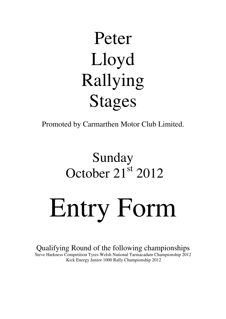# Peter Lloyd Rallying Stages

Promoted by Carmarthen Motor Club Limited.

# Sunday October 21<sup>st</sup> 2012

Entry Form

Qualifying Round of the following championships Steve Harkness Competition Tyres Welsh National Tarmacadam Championship 2012 Kick Energy Junior 1000 Rally Championship 2012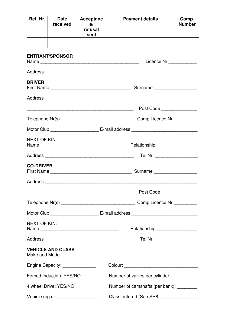| Ref. Nr.                                                | <b>Date</b><br>received                                                | <b>Acceptanc</b><br>e/<br>refusal<br>sent |                                          | <b>Payment details</b>                | Comp.<br><b>Number</b> |  |
|---------------------------------------------------------|------------------------------------------------------------------------|-------------------------------------------|------------------------------------------|---------------------------------------|------------------------|--|
|                                                         |                                                                        |                                           |                                          |                                       |                        |  |
|                                                         | <b>ENTRANT/SPONSOR</b>                                                 |                                           |                                          | Licence Nr ____________               |                        |  |
|                                                         |                                                                        |                                           |                                          |                                       |                        |  |
| <b>DRIVER</b>                                           |                                                                        |                                           |                                          |                                       |                        |  |
|                                                         |                                                                        |                                           |                                          |                                       |                        |  |
|                                                         | <u> 1989 - Johann Stein, mars and de Britain (b. 1989)</u>             |                                           |                                          | Post Code <u>____________________</u> |                        |  |
|                                                         |                                                                        |                                           |                                          |                                       |                        |  |
|                                                         |                                                                        |                                           |                                          |                                       |                        |  |
| <b>NEXT OF KIN:</b>                                     |                                                                        |                                           |                                          | Relationship ___________________      |                        |  |
|                                                         |                                                                        |                                           |                                          | Tel Nr: ____________________          |                        |  |
| <b>CO-DRIVER</b>                                        |                                                                        |                                           |                                          |                                       |                        |  |
|                                                         |                                                                        |                                           |                                          |                                       |                        |  |
|                                                         |                                                                        |                                           |                                          | Post Code                             |                        |  |
|                                                         |                                                                        |                                           |                                          |                                       |                        |  |
|                                                         |                                                                        |                                           |                                          |                                       |                        |  |
| <b>NEXT OF KIN:</b><br>Relationship ___________________ |                                                                        |                                           |                                          |                                       |                        |  |
|                                                         |                                                                        |                                           |                                          |                                       |                        |  |
|                                                         | <b>VEHICLE AND CLASS</b>                                               |                                           |                                          |                                       |                        |  |
|                                                         | Engine Capacity: _______________                                       |                                           |                                          |                                       |                        |  |
|                                                         | Forced Induction: YES/NO<br>Number of valves per cylinder: ___________ |                                           |                                          |                                       |                        |  |
|                                                         | 4 wheel Drive: YES/NO<br>Number of camshafts (per bank): _________     |                                           |                                          |                                       |                        |  |
| Vehicle reg nr: __________________                      |                                                                        |                                           | Class entered (See SR8): _______________ |                                       |                        |  |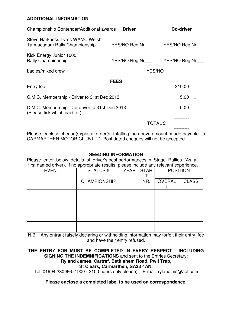## **ADDITIONAL INFORMATION**

| Championship Contender/Additional awards                                       | <b>Driver</b>                            | <b>Co-driver</b> |
|--------------------------------------------------------------------------------|------------------------------------------|------------------|
| Steve Harkness Tyres WAMC Welsh<br>Tarmacadam Rally Championship               | YES/NO Reg Nr__________YES/NO Reg Nr____ |                  |
| Kick Energy Junior 1000<br><b>Rally Championship</b>                           | YES/NO Reg Nr___ YES/NO Reg Nr___        |                  |
| Ladies/mixed crew                                                              | YES/NO                                   |                  |
|                                                                                | <b>FEES</b>                              |                  |
| Entry fee                                                                      |                                          | 210.00           |
| C.M.C. Membership - Driver to 31st Dec 2013                                    | 5.00                                     |                  |
| C.M.C. Membership - Co-driver to 31st Dec 2013<br>(Please tick which paid for) |                                          | 5.00             |
|                                                                                | <b>TOTAL £</b>                           |                  |
|                                                                                |                                          |                  |

Please enclose cheque(s)/postal order(s) totalling the above amount, made payable to CARMARTHEN MOTOR CLUB LTD. Post dated cheques will not be accepted.

### **SEEDING INFORMATION**

Please enter below details of driver's best performances in Stage Rallies (As a first named driver). If no appropriate results, please include any relevant experience.

| <b>EVENT</b> | <b>STATUS &amp;</b> | <b>YEAR</b> | <b>STAR</b> | <b>POSITION</b> |              |
|--------------|---------------------|-------------|-------------|-----------------|--------------|
|              | <b>CHAMPIONSHIP</b> |             | NR.         | <b>OVERAL</b>   | <b>CLASS</b> |
|              |                     |             |             |                 |              |
|              |                     |             |             |                 |              |
|              |                     |             |             |                 |              |
|              |                     |             |             |                 |              |

N.B. Any entrant falsely declaring or withholding information may forfeit their entry fee and have their entry refused.

# **THE ENTRY FOR MUST BE COMPLETED IN EVERY RESPECT - INCLUDING SIGNING THE INDEMNIFICATIONS** and sent to the Entries Secretary:

# **Ryland James, Cartref, Bethlehem Road, Pwll Trap,**

**St Clears, Carmarthen, SA33 4AN.** 

Tel: 01994 230966 (1900 - 2100 hours only please) E-mail: rylandjms@aol.com

**Please enclose a completed label to be used on correspondence.**